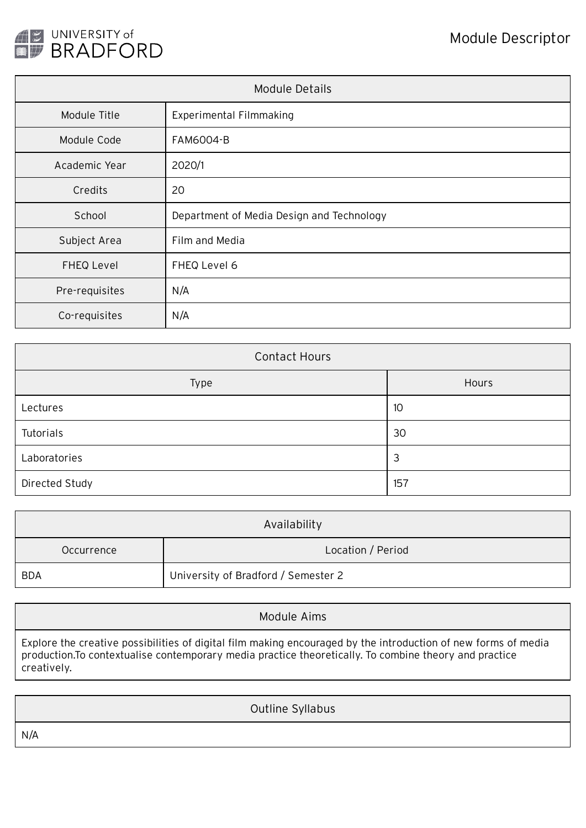

| Module Details    |                                           |  |
|-------------------|-------------------------------------------|--|
| Module Title      | <b>Experimental Filmmaking</b>            |  |
| Module Code       | <b>FAM6004-B</b>                          |  |
| Academic Year     | 2020/1                                    |  |
| Credits           | 20                                        |  |
| School            | Department of Media Design and Technology |  |
| Subject Area      | Film and Media                            |  |
| <b>FHEQ Level</b> | FHEQ Level 6                              |  |
| Pre-requisites    | N/A                                       |  |
| Co-requisites     | N/A                                       |  |

| <b>Contact Hours</b> |       |  |  |
|----------------------|-------|--|--|
| Type                 | Hours |  |  |
| Lectures             | 10    |  |  |
| Tutorials            | 30    |  |  |
| Laboratories         | 3     |  |  |
| Directed Study       | 157   |  |  |

| Availability |                                     |  |
|--------------|-------------------------------------|--|
| Occurrence   | Location / Period                   |  |
| <b>BDA</b>   | University of Bradford / Semester 2 |  |

| Module Aims                                                                                                                                                                                                                             |  |
|-----------------------------------------------------------------------------------------------------------------------------------------------------------------------------------------------------------------------------------------|--|
| Explore the creative possibilities of digital film making encouraged by the introduction of new forms of media<br>production. To contextualise contemporary media practice theoretically. To combine theory and practice<br>creatively. |  |

|     | Outline Syllabus |
|-----|------------------|
| N/A |                  |